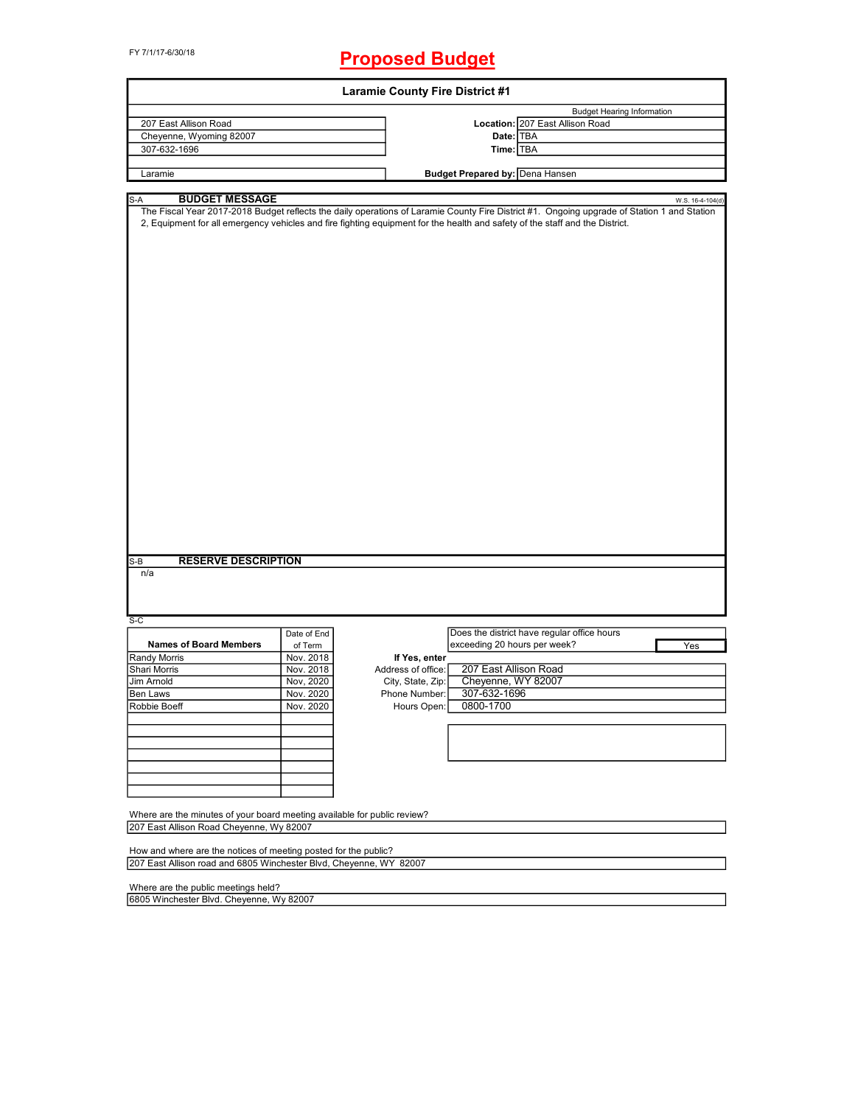FY 7/1/17-6/30/18

## **Proposed Budget**

| <b>Laramie County Fire District #1</b>                                                                                                |                        |                                    |                                                                                                                                                                                                                                                                                                                                                |  |  |  |  |  |
|---------------------------------------------------------------------------------------------------------------------------------------|------------------------|------------------------------------|------------------------------------------------------------------------------------------------------------------------------------------------------------------------------------------------------------------------------------------------------------------------------------------------------------------------------------------------|--|--|--|--|--|
| 207 East Allison Road<br>Cheyenne, Wyoming 82007<br>307-632-1696                                                                      |                        |                                    | <b>Budget Hearing Information</b><br>Location: 207 East Allison Road<br>Date: TBA<br>Time: TBA                                                                                                                                                                                                                                                 |  |  |  |  |  |
| Laramie                                                                                                                               |                        |                                    | <b>Budget Prepared by: Dena Hansen</b>                                                                                                                                                                                                                                                                                                         |  |  |  |  |  |
|                                                                                                                                       |                        |                                    |                                                                                                                                                                                                                                                                                                                                                |  |  |  |  |  |
| <b>BUDGET MESSAGE</b><br>S-A<br><b>RESERVE DESCRIPTION</b><br>$S-B$<br>n/a<br>$S-C$                                                   | Date of End            |                                    | W.S. 16-4-104(d)<br>The Fiscal Year 2017-2018 Budget reflects the daily operations of Laramie County Fire District #1. Ongoing upgrade of Station 1 and Station<br>2, Equipment for all emergency vehicles and fire fighting equipment for the health and safety of the staff and the District.<br>Does the district have regular office hours |  |  |  |  |  |
| <b>Names of Board Members</b>                                                                                                         | of Term                |                                    | exceeding 20 hours per week?<br>Yes                                                                                                                                                                                                                                                                                                            |  |  |  |  |  |
| Randy Morris                                                                                                                          | Nov. 2018              | If Yes, enter                      |                                                                                                                                                                                                                                                                                                                                                |  |  |  |  |  |
| Shari Morris<br>Jim Arnold                                                                                                            | Nov. 2018              | Address of office:                 | 207 East Allison Road<br>Cheyenne, WY 82007                                                                                                                                                                                                                                                                                                    |  |  |  |  |  |
| Ben Laws                                                                                                                              | Nov, 2020<br>Nov. 2020 | City, State, Zip:<br>Phone Number: | 307-632-1696                                                                                                                                                                                                                                                                                                                                   |  |  |  |  |  |
| Robbie Boeff                                                                                                                          | Nov. 2020              |                                    | Hours Open: 0800-1700                                                                                                                                                                                                                                                                                                                          |  |  |  |  |  |
|                                                                                                                                       |                        |                                    |                                                                                                                                                                                                                                                                                                                                                |  |  |  |  |  |
| Where are the minutes of your board meeting available for public review?<br>207 East Allison Road Cheyenne, Wy 82007                  |                        |                                    |                                                                                                                                                                                                                                                                                                                                                |  |  |  |  |  |
| How and where are the notices of meeting posted for the public?<br>207 East Allison road and 6805 Winchester Blvd, Cheyenne, WY 82007 |                        |                                    |                                                                                                                                                                                                                                                                                                                                                |  |  |  |  |  |
| Where are the public meetings held?<br>6805 Winchester Blvd. Cheyenne, Wy 82007                                                       |                        |                                    |                                                                                                                                                                                                                                                                                                                                                |  |  |  |  |  |